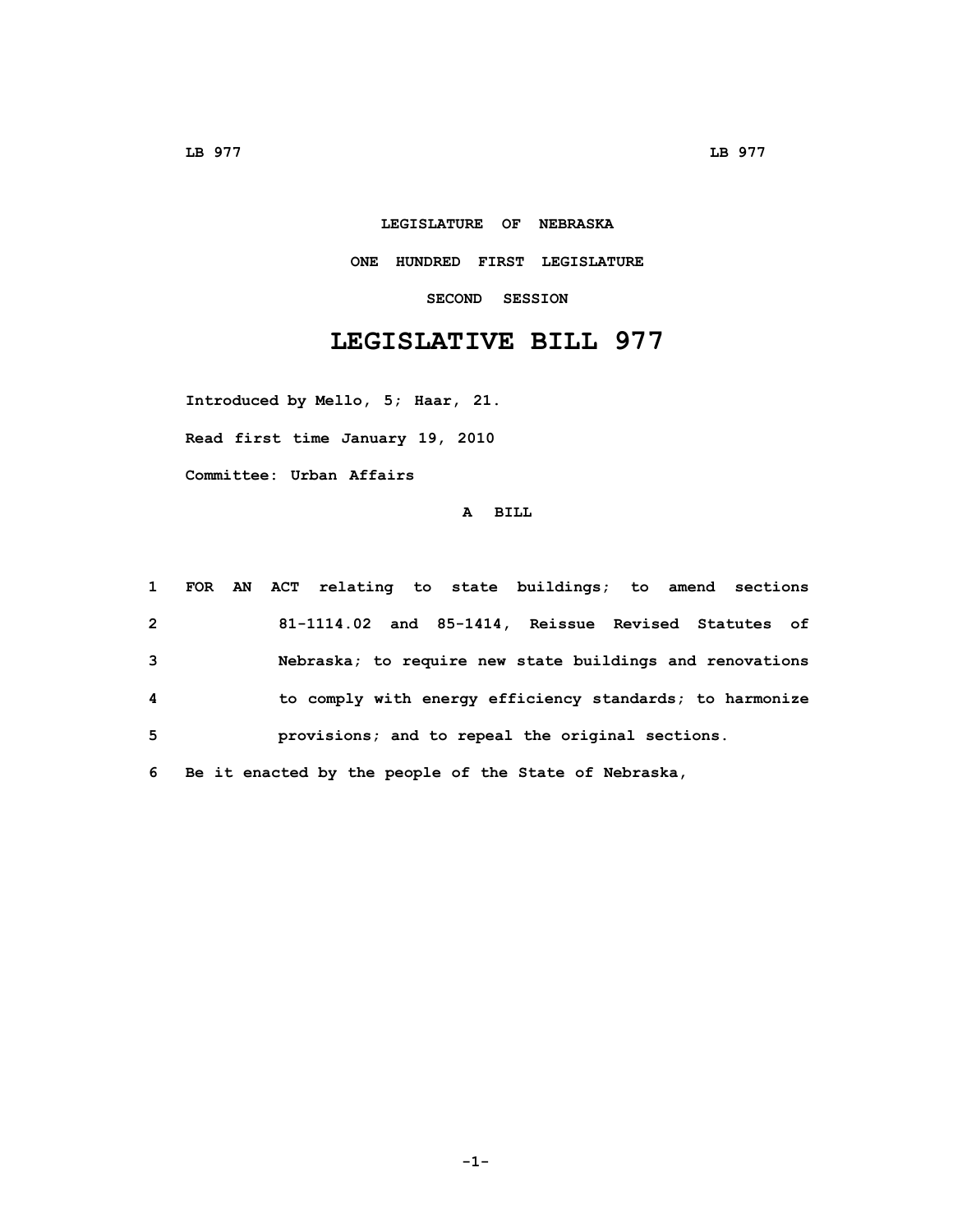## **LEGISLATURE OF NEBRASKA**

## **ONE HUNDRED FIRST LEGISLATURE**

**SECOND SESSION**

## **LEGISLATIVE BILL 977**

**Introduced by Mello, 5; Haar, 21.**

**Read first time January 19, 2010**

**Committee: Urban Affairs**

## **A BILL**

| $\mathbf{1}$   | FOR AN ACT relating to state buildings; to amend sections |
|----------------|-----------------------------------------------------------|
| $\overline{2}$ | 81-1114.02 and 85-1414, Reissue Revised Statutes of       |
| $\mathbf{3}$   | Nebraska; to require new state buildings and renovations  |
| -4             | to comply with energy efficiency standards; to harmonize  |
| 5              | provisions; and to repeal the original sections.          |
| 6              | Be it enacted by the people of the State of Nebraska,     |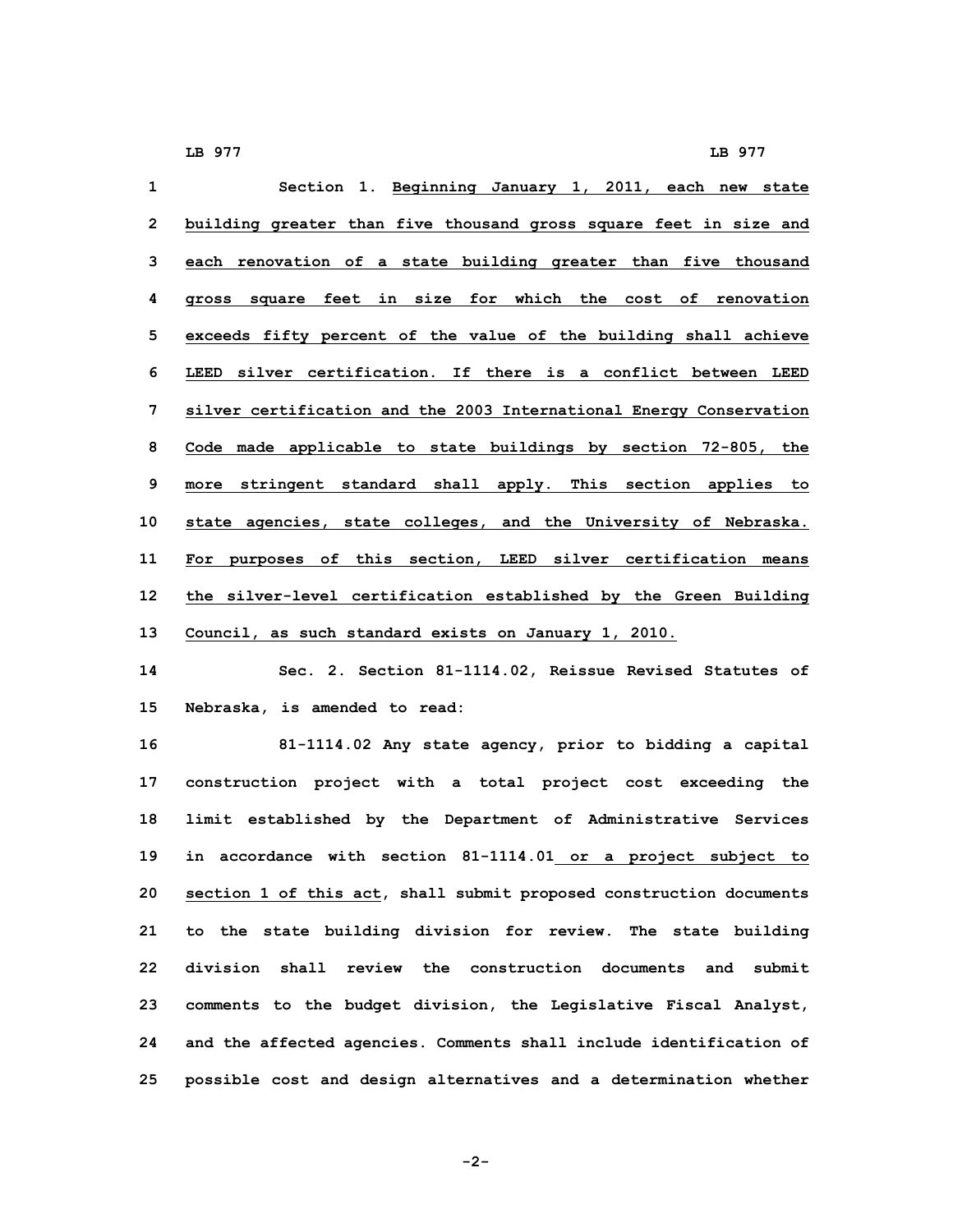| $\mathbf{1}$   | Section 1. Beginning January 1, 2011, each new state                |
|----------------|---------------------------------------------------------------------|
| $\overline{2}$ | building greater than five thousand gross square feet in size and   |
| 3              | each renovation of a state building greater than five thousand      |
| 4              | gross square feet in size for which the cost of renovation          |
| 5              | exceeds fifty percent of the value of the building shall achieve    |
| 6              | LEED silver certification. If there is a conflict between LEED      |
| 7              | silver certification and the 2003 International Energy Conservation |
| 8              | Code made applicable to state buildings by section 72-805, the      |
| 9              | more stringent standard shall apply. This section applies to        |
| 10             | state agencies, state colleges, and the University of Nebraska.     |
| 11             | For purposes of this section, LEED silver certification means       |
| 12             | the silver-level certification established by the Green Building    |
| 13             | Council, as such standard exists on January 1, 2010.                |
| $ -$           |                                                                     |

**14 Sec. 2. Section 81-1114.02, Reissue Revised Statutes of 15 Nebraska, is amended to read:**

 **81-1114.02 Any state agency, prior to bidding <sup>a</sup> capital construction project with <sup>a</sup> total project cost exceeding the limit established by the Department of Administrative Services in accordance with section 81-1114.01 or <sup>a</sup> project subject to section 1 of this act, shall submit proposed construction documents to the state building division for review. The state building division shall review the construction documents and submit comments to the budget division, the Legislative Fiscal Analyst, and the affected agencies. Comments shall include identification of possible cost and design alternatives and <sup>a</sup> determination whether**

**-2-**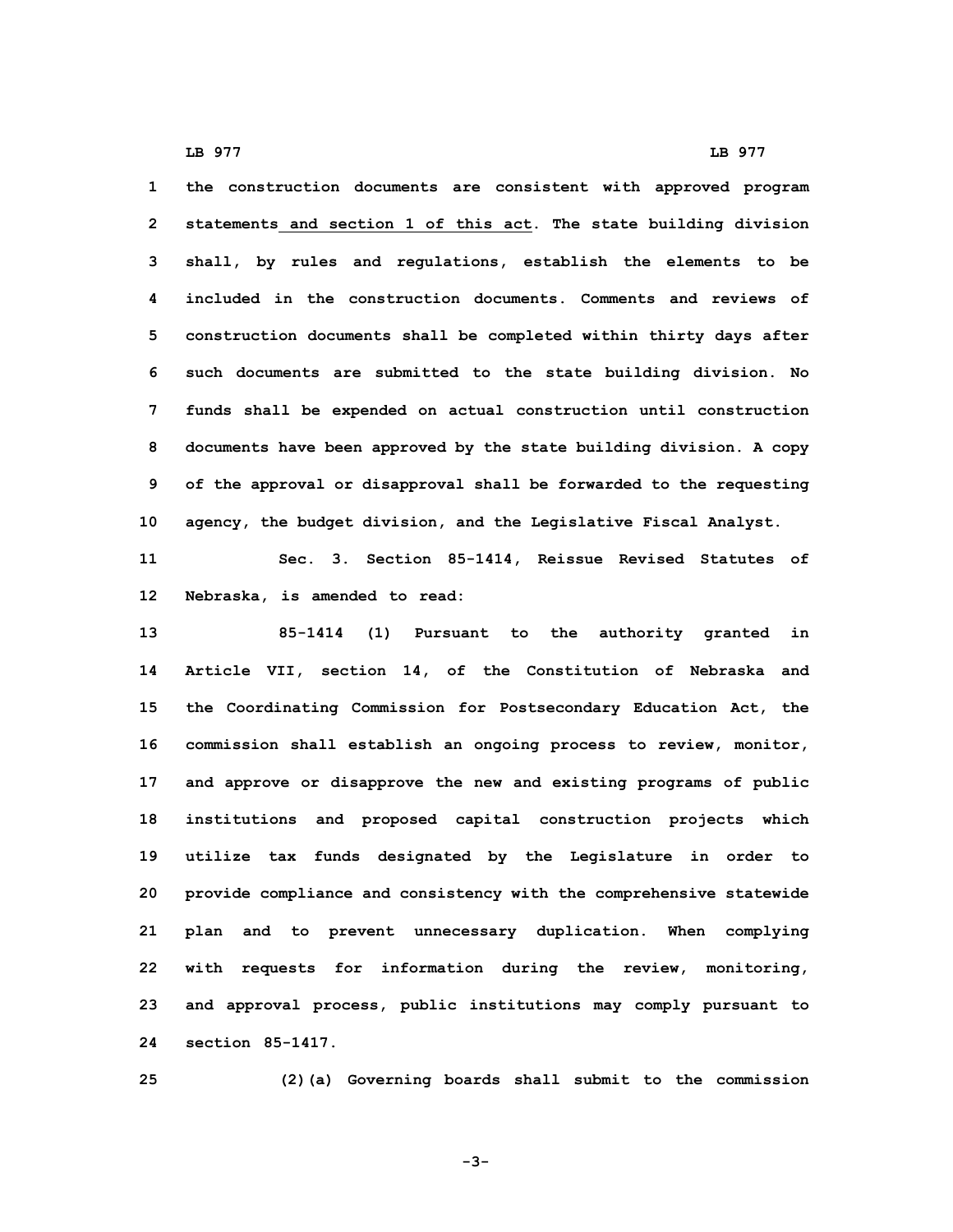**the construction documents are consistent with approved program statements and section 1 of this act. The state building division shall, by rules and regulations, establish the elements to be included in the construction documents. Comments and reviews of construction documents shall be completed within thirty days after such documents are submitted to the state building division. No funds shall be expended on actual construction until construction documents have been approved by the state building division. <sup>A</sup> copy of the approval or disapproval shall be forwarded to the requesting agency, the budget division, and the Legislative Fiscal Analyst.**

**11 Sec. 3. Section 85-1414, Reissue Revised Statutes of 12 Nebraska, is amended to read:**

 **85-1414 (1) Pursuant to the authority granted in Article VII, section 14, of the Constitution of Nebraska and the Coordinating Commission for Postsecondary Education Act, the commission shall establish an ongoing process to review, monitor, and approve or disapprove the new and existing programs of public institutions and proposed capital construction projects which utilize tax funds designated by the Legislature in order to provide compliance and consistency with the comprehensive statewide plan and to prevent unnecessary duplication. When complying with requests for information during the review, monitoring, and approval process, public institutions may comply pursuant to section 85-1417.**

**25 (2)(a) Governing boards shall submit to the commission**

**-3-**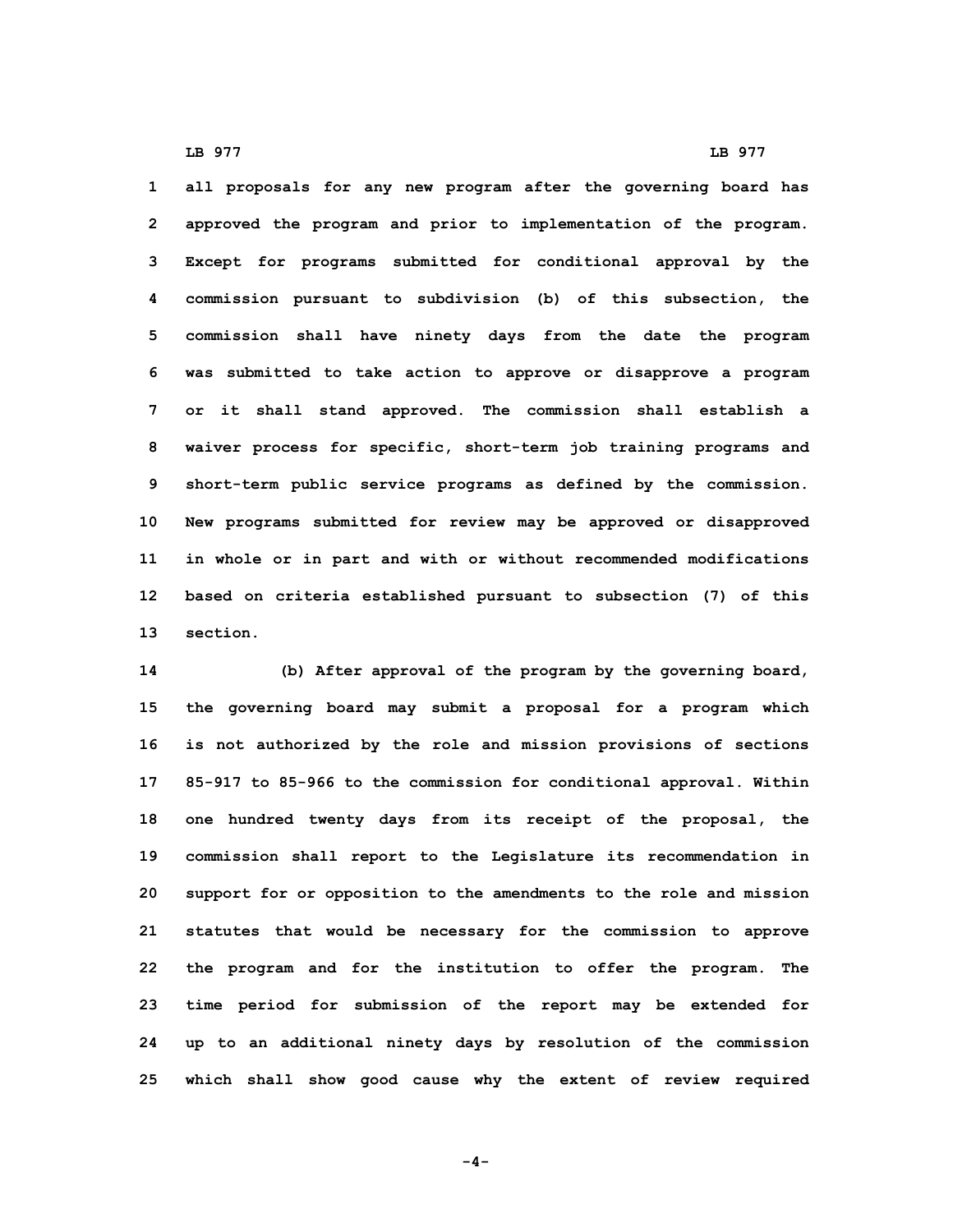**all proposals for any new program after the governing board has approved the program and prior to implementation of the program. Except for programs submitted for conditional approval by the commission pursuant to subdivision (b) of this subsection, the commission shall have ninety days from the date the program was submitted to take action to approve or disapprove <sup>a</sup> program or it shall stand approved. The commission shall establish <sup>a</sup> waiver process for specific, short-term job training programs and short-term public service programs as defined by the commission. New programs submitted for review may be approved or disapproved in whole or in part and with or without recommended modifications based on criteria established pursuant to subsection (7) of this 13 section.**

 **(b) After approval of the program by the governing board, the governing board may submit <sup>a</sup> proposal for <sup>a</sup> program which is not authorized by the role and mission provisions of sections 85-917 to 85-966 to the commission for conditional approval. Within one hundred twenty days from its receipt of the proposal, the commission shall report to the Legislature its recommendation in support for or opposition to the amendments to the role and mission statutes that would be necessary for the commission to approve the program and for the institution to offer the program. The time period for submission of the report may be extended for up to an additional ninety days by resolution of the commission which shall show good cause why the extent of review required**

**-4-**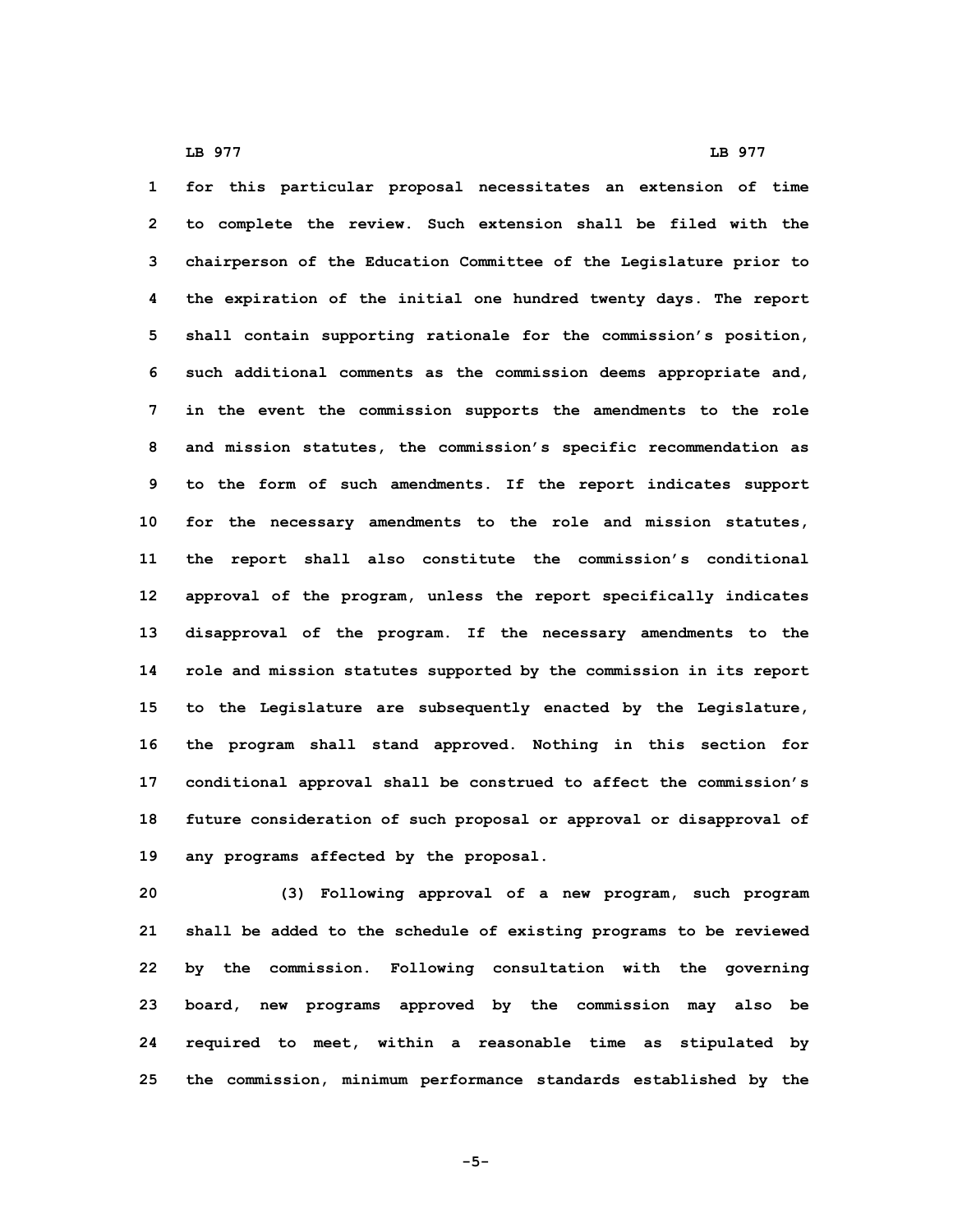**for this particular proposal necessitates an extension of time to complete the review. Such extension shall be filed with the chairperson of the Education Committee of the Legislature prior to the expiration of the initial one hundred twenty days. The report shall contain supporting rationale for the commission's position, such additional comments as the commission deems appropriate and, in the event the commission supports the amendments to the role and mission statutes, the commission's specific recommendation as to the form of such amendments. If the report indicates support for the necessary amendments to the role and mission statutes, the report shall also constitute the commission's conditional approval of the program, unless the report specifically indicates disapproval of the program. If the necessary amendments to the role and mission statutes supported by the commission in its report to the Legislature are subsequently enacted by the Legislature, the program shall stand approved. Nothing in this section for conditional approval shall be construed to affect the commission's future consideration of such proposal or approval or disapproval of any programs affected by the proposal.**

 **(3) Following approval of <sup>a</sup> new program, such program shall be added to the schedule of existing programs to be reviewed by the commission. Following consultation with the governing board, new programs approved by the commission may also be required to meet, within <sup>a</sup> reasonable time as stipulated by the commission, minimum performance standards established by the**

**-5-**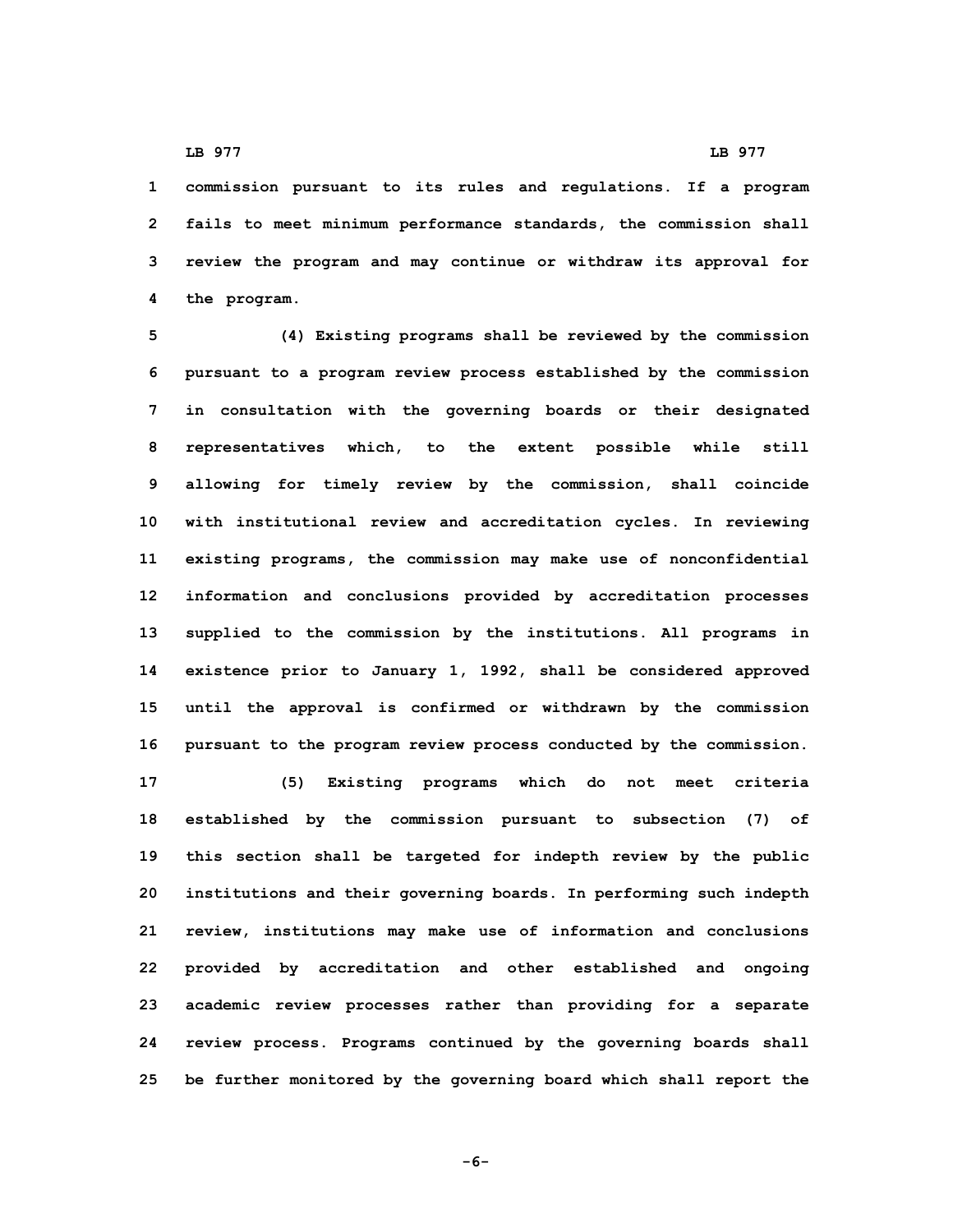**commission pursuant to its rules and regulations. If <sup>a</sup> program fails to meet minimum performance standards, the commission shall review the program and may continue or withdraw its approval for the program.**

 **(4) Existing programs shall be reviewed by the commission pursuant to <sup>a</sup> program review process established by the commission in consultation with the governing boards or their designated representatives which, to the extent possible while still allowing for timely review by the commission, shall coincide with institutional review and accreditation cycles. In reviewing existing programs, the commission may make use of nonconfidential information and conclusions provided by accreditation processes supplied to the commission by the institutions. All programs in existence prior to January 1, 1992, shall be considered approved until the approval is confirmed or withdrawn by the commission pursuant to the program review process conducted by the commission.**

 **(5) Existing programs which do not meet criteria established by the commission pursuant to subsection (7) of this section shall be targeted for indepth review by the public institutions and their governing boards. In performing such indepth review, institutions may make use of information and conclusions provided by accreditation and other established and ongoing academic review processes rather than providing for <sup>a</sup> separate review process. Programs continued by the governing boards shall be further monitored by the governing board which shall report the**

**-6-**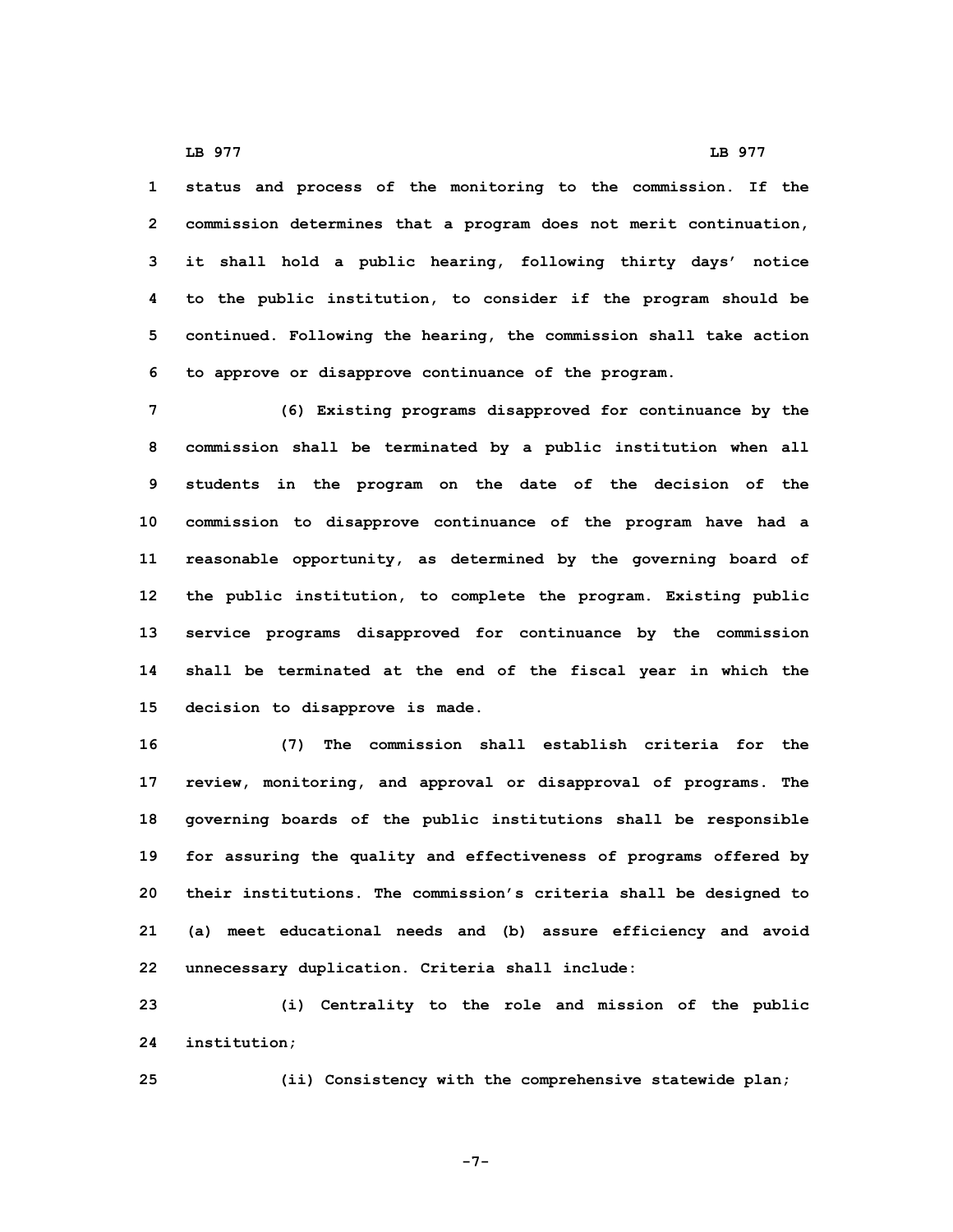**status and process of the monitoring to the commission. If the commission determines that <sup>a</sup> program does not merit continuation, it shall hold <sup>a</sup> public hearing, following thirty days' notice to the public institution, to consider if the program should be continued. Following the hearing, the commission shall take action to approve or disapprove continuance of the program.**

 **(6) Existing programs disapproved for continuance by the commission shall be terminated by <sup>a</sup> public institution when all students in the program on the date of the decision of the commission to disapprove continuance of the program have had <sup>a</sup> reasonable opportunity, as determined by the governing board of the public institution, to complete the program. Existing public service programs disapproved for continuance by the commission shall be terminated at the end of the fiscal year in which the decision to disapprove is made.**

 **(7) The commission shall establish criteria for the review, monitoring, and approval or disapproval of programs. The governing boards of the public institutions shall be responsible for assuring the quality and effectiveness of programs offered by their institutions. The commission's criteria shall be designed to (a) meet educational needs and (b) assure efficiency and avoid unnecessary duplication. Criteria shall include:**

**23 (i) Centrality to the role and mission of the public 24 institution;**

**25 (ii) Consistency with the comprehensive statewide plan;**

**-7-**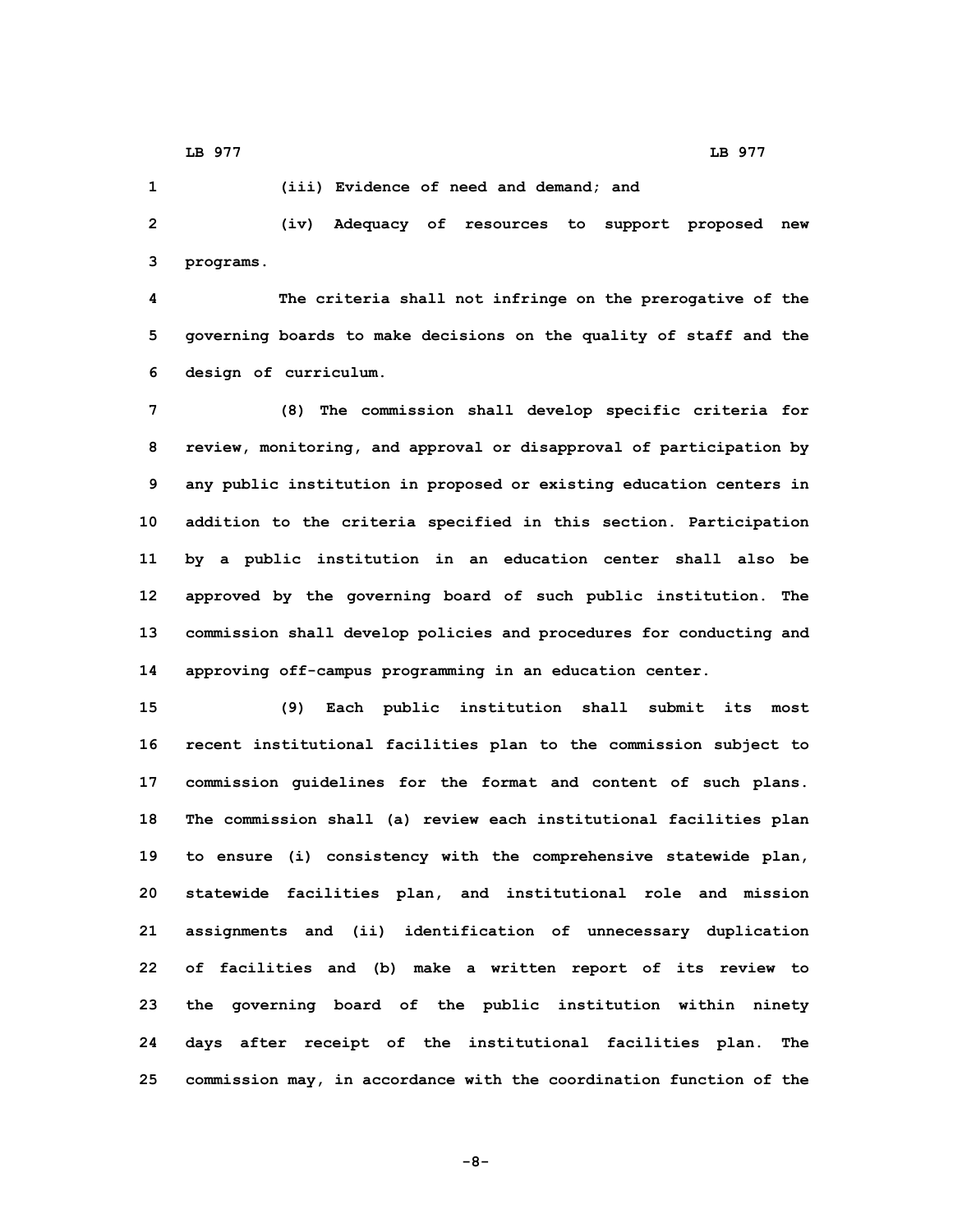**1 (iii) Evidence of need and demand; and**

**2 (iv) Adequacy of resources to support proposed new 3 programs.**

**4 The criteria shall not infringe on the prerogative of the 5 governing boards to make decisions on the quality of staff and the 6 design of curriculum.**

 **(8) The commission shall develop specific criteria for review, monitoring, and approval or disapproval of participation by any public institution in proposed or existing education centers in addition to the criteria specified in this section. Participation by <sup>a</sup> public institution in an education center shall also be approved by the governing board of such public institution. The commission shall develop policies and procedures for conducting and approving off-campus programming in an education center.**

 **(9) Each public institution shall submit its most recent institutional facilities plan to the commission subject to commission guidelines for the format and content of such plans. The commission shall (a) review each institutional facilities plan to ensure (i) consistency with the comprehensive statewide plan, statewide facilities plan, and institutional role and mission assignments and (ii) identification of unnecessary duplication of facilities and (b) make <sup>a</sup> written report of its review to the governing board of the public institution within ninety days after receipt of the institutional facilities plan. The commission may, in accordance with the coordination function of the**

**-8-**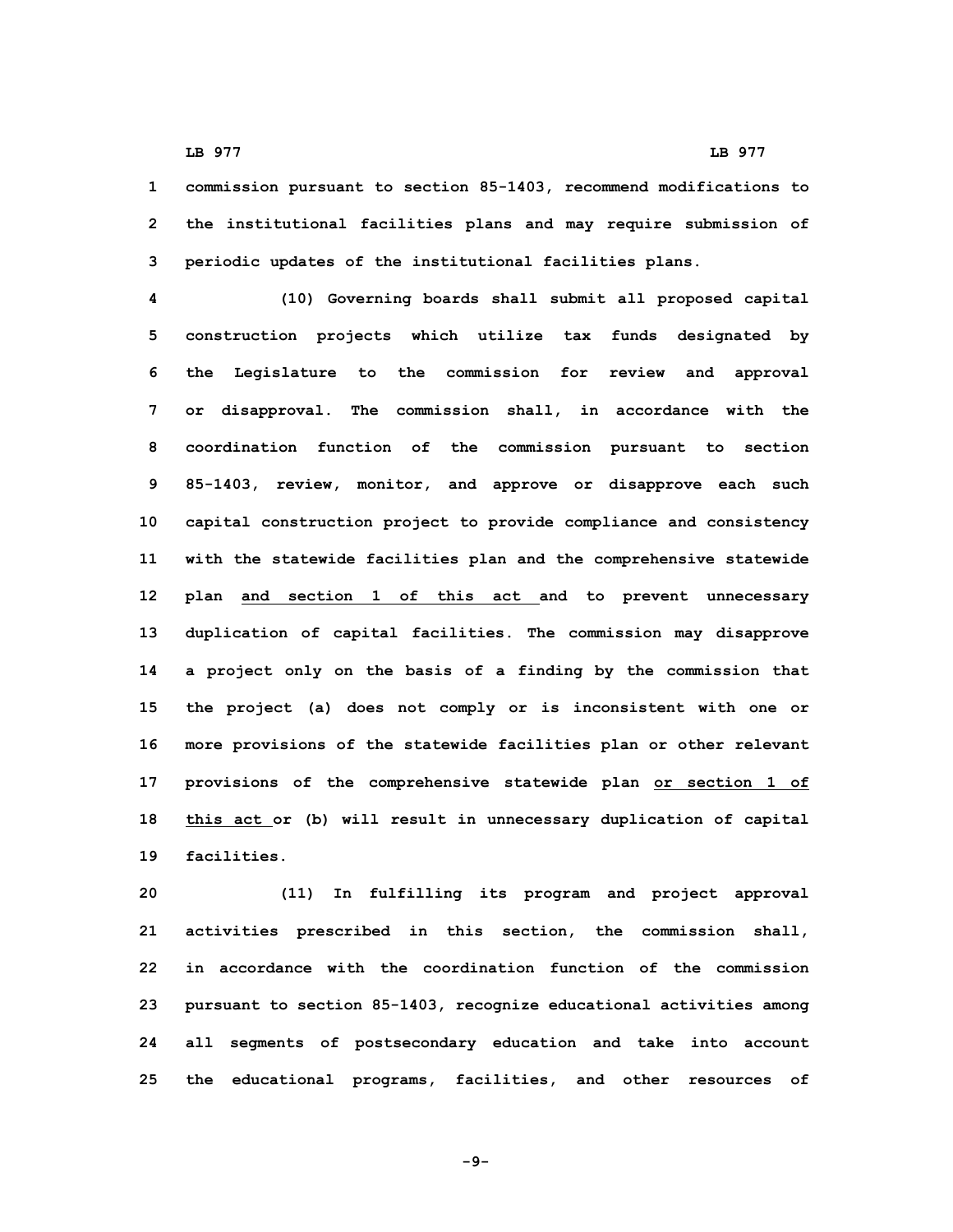**1 commission pursuant to section 85-1403, recommend modifications to 2 the institutional facilities plans and may require submission of 3 periodic updates of the institutional facilities plans.**

 **(10) Governing boards shall submit all proposed capital construction projects which utilize tax funds designated by the Legislature to the commission for review and approval or disapproval. The commission shall, in accordance with the coordination function of the commission pursuant to section 85-1403, review, monitor, and approve or disapprove each such capital construction project to provide compliance and consistency with the statewide facilities plan and the comprehensive statewide plan and section 1 of this act and to prevent unnecessary duplication of capital facilities. The commission may disapprove <sup>a</sup> project only on the basis of <sup>a</sup> finding by the commission that the project (a) does not comply or is inconsistent with one or more provisions of the statewide facilities plan or other relevant provisions of the comprehensive statewide plan or section 1 of this act or (b) will result in unnecessary duplication of capital facilities.**

 **(11) In fulfilling its program and project approval activities prescribed in this section, the commission shall, in accordance with the coordination function of the commission pursuant to section 85-1403, recognize educational activities among all segments of postsecondary education and take into account the educational programs, facilities, and other resources of**

**-9-**